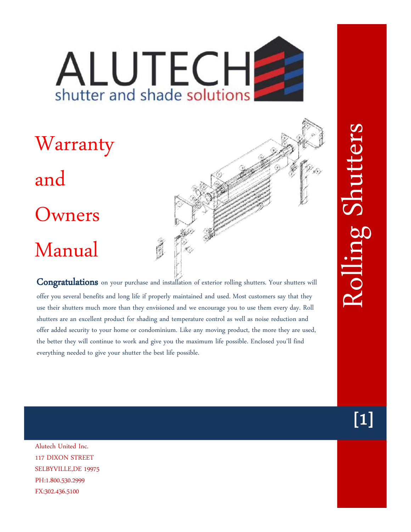# ALUTECH shutter and shade solutions

# Warranty and Owners Manual

**Congratulations** on your purchase and installation of exterior rolling shutters. Your shutters will offer you several benefits and long life if properly maintained and used. Most customers say that they use their shutters much more than they envisioned and we encourage you to use them every day. Roll shutters are an excellent product for shading and temperature control as well as noise reduction and offer added security to your home or condominium. Like any moving product, the more they are used, the better they will continue to work and give you the maximum life possible. Enclosed you'll find everything needed to give your shutter the best life possible.

Alutech United Inc. 117 DIXON STREET SELBYVILLE,DE 19975 PH:1.800.530.2999 FX:302.436.5100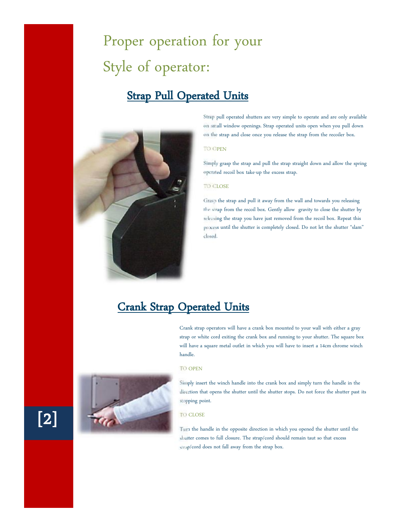# Proper operation for your Style of operator:

## **Strap Pull Operated Units**



Strap pull operated shutters are very simple to operate and are only available on small window openings. Strap operated units open when you pull down on the strap and close once you release the strap from the recoiler box.

### TO OPEN

Simply grasp the strap and pull the strap straight down and allow the spring operated recoil box take-up the excess strap.

#### TO CLOSE

Grasp the strap and pull it away from the wall and towards you releasing the strap from the recoil box. Gently allow gravity to close the shutter by releasing the strap you have just removed from the recoil box. Repeat this process until the shutter is completely closed. Do not let the shutter "slam" closed.

## **Crank Strap Operated Units**

Crank strap operators will have a crank box mounted to your wall with either a gray strap or white cord exiting the crank box and running to your shutter. The square box will have a square metal outlet in which you will have to insert a 14cm chrome winch handle.

#### TO OPEN



Simply insert the winch handle into the crank box and simply turn the handle in the direction that opens the shutter until the shutter stops. Do not force the shutter past its stopping point.

#### TO CLOSE

Turn the handle in the opposite direction in which you opened the shutter until the shutter comes to full closure. The strap/cord should remain taut so that excess strap/cord does not fall away from the strap box.

# **[2]**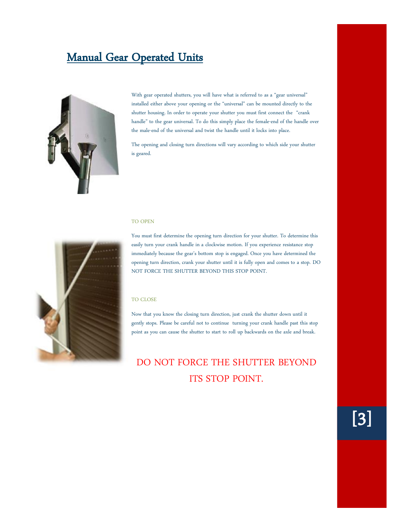## **Manual Gear Operated Units**



With gear operated shutters, you will have what is referred to as a "gear universal" installed either above your opening or the "universal" can be mounted directly to the shutter housing. In order to operate your shutter you must first connect the "crank handle" to the gear universal. To do this simply place the female-end of the handle over the male-end of the universal and twist the handle until it locks into place.

The opening and closing turn directions will vary according to which side your shutter is geared.

#### TO OPEN



You must first determine the opening turn direction for your shutter. To determine this easily turn your crank handle in a clockwise motion. If you experience resistance stop immediately because the gear's bottom stop is engaged. Once you have determined the opening turn direction, crank your shutter until it is fully open and comes to a stop. DO NOT FORCE THE SHUTTER BEYOND THIS STOP POINT.

#### TO CLOSE

Now that you know the closing turn direction, just crank the shutter down until it gently stops. Please be careful not to continue turning your crank handle past this stop point as you can cause the shutter to start to roll up backwards on the axle and break.

## DO NOT FORCE THE SHUTTER BEYOND ITS STOP POINT.

**[3]**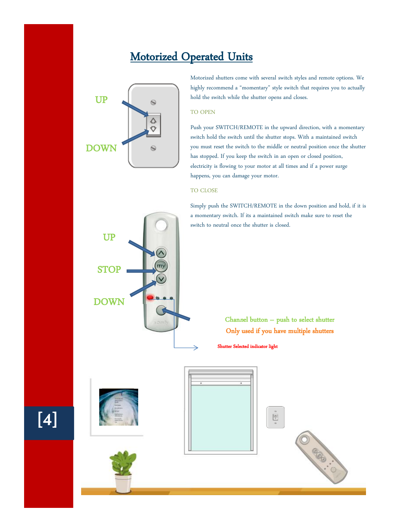## **Motorized Operated Units**



Motorized shutters come with several switch styles and remote options. We highly recommend a "momentary" style switch that requires you to actually hold the switch while the shutter opens and closes.

#### TO OPEN

Push your SWITCH/REMOTE in the upward direction, with a momentary switch hold the switch until the shutter stops. With a maintained switch you must reset the switch to the middle or neutral position once the shutter has stopped. If you keep the switch in an open or closed position, electricity is flowing to your motor at all times and if a power surge happens, you can damage your motor.

#### TO CLOSE

Simply push the SWITCH/REMOTE in the down position and hold, if it is a momentary switch. If its a maintained switch make sure to reset the switch to neutral once the shutter is closed.



**Chan***n***el button – push to select shutter Only used if you have multiple shutters**

**Shutter Selected indicator light** 



**[4]**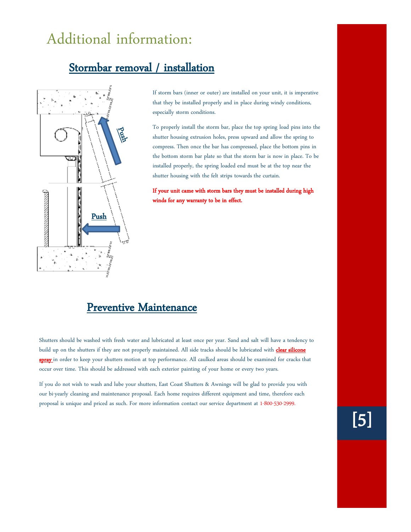## Additional information:

## **Stormbar removal / installation**



If storm bars (inner or outer) are installed on your unit, it is imperative that they be installed properly and in place during windy conditions, especially storm conditions.

To properly install the storm bar, place the top spring load pins into the shutter housing extrusion holes, press upward and allow the spring to compress. Then once the bar has compressed, place the bottom pins in the bottom storm bar plate so that the storm bar is now in place. To be installed properly, the spring loaded end must be at the top near the shutter housing with the felt strips towards the curtain.

**If your unit came with storm bars they must be installed during high winds for any warranty to be in effect.**

### **Preventive Maintenance**

Shutters should be washed with fresh water and lubricated at least once per year. Sand and salt will have a tendency to build up on the shutters if they are not properly maintained. All side tracks should be lubricated with **clear silicone spray** in order to keep your shutters motion at top performance. All caulked areas should be examined for cracks that occur over time. This should be addressed with each exterior painting of your home or every two years.

If you do not wish to wash and lube your shutters, East Coast Shutters & Awnings will be glad to provide you with our bi-yearly cleaning and maintenance proposal. Each home requires different equipment and time, therefore each proposal is unique and priced as such. For more information contact our service department at 1-800-530-2999.

**[5]**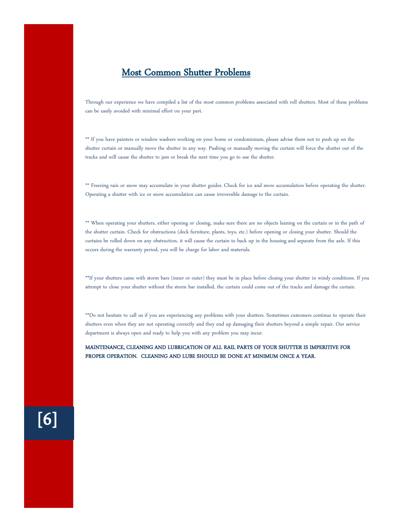## **Most Common Shutter Problems**

Through our experience we have compiled a list of the most common problems associated with roll shutters. Most of these problems can be easily avoided with minimal effort on your part.

\*\* If you have painters or window washers working on your home or condominium, please advise them not to push up on the shutter curtain or manually move the shutter in any way. Pushing or manually moving the curtain will force the shutter out of the tracks and will cause the shutter to jam or break the next time you go to use the shutter.

\*\* Freezing rain or snow may accumulate in your shutter guides. Check for ice and snow accumulation before operating the shutter. Operating a shutter with ice or snow accumulation can cause irreversible damage to the curtain.

\*\* When operating your shutters, either opening or closing, make sure there are no objects leaning on the curtain or in the path of the shutter curtain. Check for obstructions (deck furniture, plants, toys, etc.) before opening or closing your shutter. Should the curtains be rolled down on any obstruction, it will cause the curtain to back up in the housing and separate from the axle. If this occurs during the warranty period, you will be charge for labor and materials.

\*\*If your shutters came with storm bars (inner or outer) they must be in place before closing your shutter in windy conditions. If you attempt to close your shutter without the storm bar installed, the curtain could come out of the tracks and damage the curtain.

\*\*Do not hesitate to call us if you are experiencing any problems with your shutters. Sometimes customers continue to operate their shutters even when they are not operating correctly and they end up damaging their shutters beyond a simple repair. Our service department is always open and ready to help you with any problem you may incur.

**MAINTENANCE, CLEANING AND LUBRICATION OF ALL RAIL PARTS OF YOUR SHUTTER IS IMPERITIVE FOR PROPER OPERATION. CLEANING AND LUBE SHOULD BE DONE AT MINIMUM ONCE A YEAR.**

**[6]**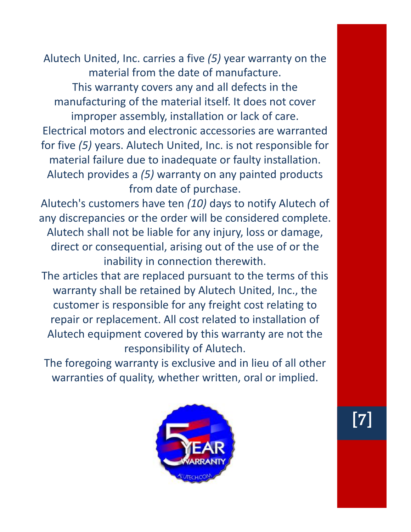Alutech United, Inc. carries a five *(5)* year warranty on the material from the date of manufacture. This warranty covers any and all defects in the manufacturing of the material itself. It does not cover improper assembly, installation or lack of care. Electrical motors and electronic accessories are warranted for five *(5)* years. Alutech United, Inc. is not responsible for material failure due to inadequate or faulty installation. Alutech provides a *(5)* warranty on any painted products from date of purchase.

Alutech's customers have ten *(10)* days to notify Alutech of any discrepancies or the order will be considered complete. Alutech shall not be liable for any injury, loss or damage, direct or consequential, arising out of the use of or the inability in connection therewith.

The articles that are replaced pursuant to the terms of this warranty shall be retained by Alutech United, Inc., the customer is responsible for any freight cost relating to repair or replacement. All cost related to installation of Alutech equipment covered by this warranty are not the responsibility of Alutech.

The foregoing warranty is exclusive and in lieu of all other warranties of quality, whether written, oral or implied.



**[7]**